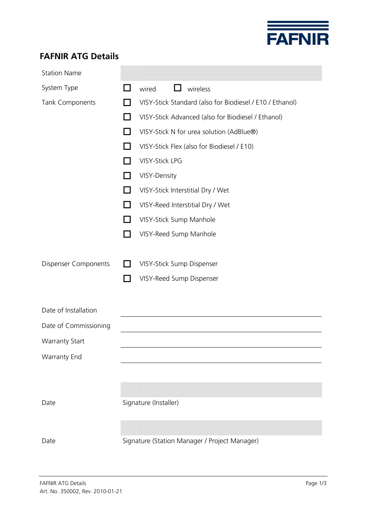

## **FAFNIR ATG Details**

| <b>Station Name</b>         |                                                          |
|-----------------------------|----------------------------------------------------------|
| System Type                 | wireless<br>wired<br>$\mathsf{L}$                        |
| Tank Components             | VISY-Stick Standard (also for Biodiesel / E10 / Ethanol) |
|                             | VISY-Stick Advanced (also for Biodiesel / Ethanol)       |
|                             | VISY-Stick N for urea solution (AdBlue®)                 |
|                             | VISY-Stick Flex (also for Biodiesel / E10)               |
|                             | <b>VISY-Stick LPG</b>                                    |
|                             | VISY-Density                                             |
|                             | VISY-Stick Interstitial Dry / Wet                        |
|                             | VISY-Reed Interstitial Dry / Wet                         |
|                             | VISY-Stick Sump Manhole                                  |
|                             | VISY-Reed Sump Manhole                                   |
|                             |                                                          |
| <b>Dispenser Components</b> | VISY-Stick Sump Dispenser                                |
|                             | VISY-Reed Sump Dispenser                                 |
|                             |                                                          |
| Date of Installation        |                                                          |
| Date of Commissioning       |                                                          |
| <b>Warranty Start</b>       |                                                          |
| <b>Warranty End</b>         |                                                          |
|                             |                                                          |
|                             |                                                          |
| Date                        | Signature (Installer)                                    |
|                             |                                                          |
|                             |                                                          |
| Date                        | Signature (Station Manager / Project Manager)            |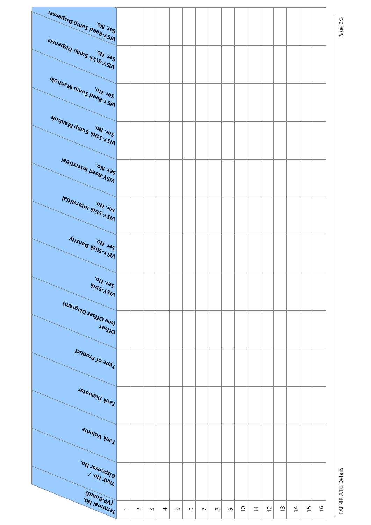

FAFNIR ATG Details

Page 2/3